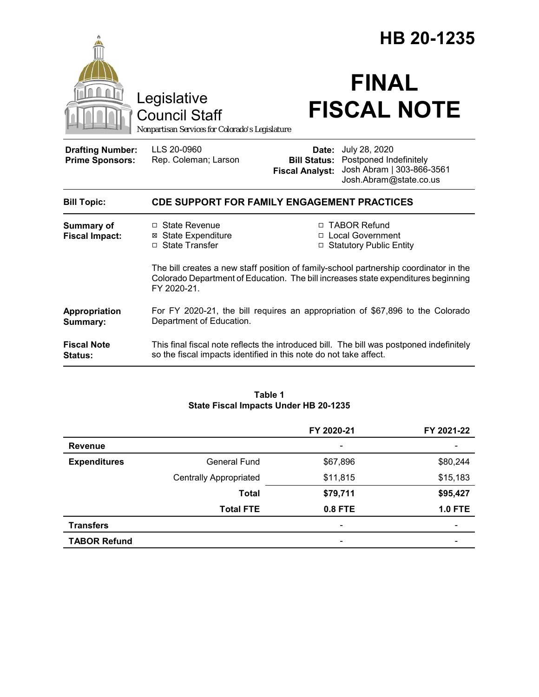|                                                   |                                                                                                                                                                                           | HB 20-1235                      |                                                                                                                    |
|---------------------------------------------------|-------------------------------------------------------------------------------------------------------------------------------------------------------------------------------------------|---------------------------------|--------------------------------------------------------------------------------------------------------------------|
|                                                   | Legislative<br><b>Council Staff</b><br>Nonpartisan Services for Colorado's Legislature                                                                                                    |                                 | <b>FINAL</b><br><b>FISCAL NOTE</b>                                                                                 |
| <b>Drafting Number:</b><br><b>Prime Sponsors:</b> | LLS 20-0960<br>Rep. Coleman; Larson                                                                                                                                                       | Date:<br><b>Fiscal Analyst:</b> | July 28, 2020<br><b>Bill Status:</b> Postponed Indefinitely<br>Josh Abram   303-866-3561<br>Josh.Abram@state.co.us |
| <b>Bill Topic:</b>                                | <b>CDE SUPPORT FOR FAMILY ENGAGEMENT PRACTICES</b>                                                                                                                                        |                                 |                                                                                                                    |
| <b>Summary of</b><br><b>Fiscal Impact:</b>        | □ State Revenue<br><b>⊠ State Expenditure</b><br>□ State Transfer                                                                                                                         |                                 | □ TABOR Refund<br>□ Local Government<br>□ Statutory Public Entity                                                  |
|                                                   | The bill creates a new staff position of family-school partnership coordinator in the<br>Colorado Department of Education. The bill increases state expenditures beginning<br>FY 2020-21. |                                 |                                                                                                                    |
| Appropriation<br>Summary:                         | For FY 2020-21, the bill requires an appropriation of \$67,896 to the Colorado<br>Department of Education.                                                                                |                                 |                                                                                                                    |
| <b>Fiscal Note</b><br><b>Status:</b>              | This final fiscal note reflects the introduced bill. The bill was postponed indefinitely<br>so the fiscal impacts identified in this note do not take affect.                             |                                 |                                                                                                                    |

## **Table 1 State Fiscal Impacts Under HB 20-1235**

|                     |                               | FY 2020-21               | FY 2021-22     |
|---------------------|-------------------------------|--------------------------|----------------|
| <b>Revenue</b>      |                               | $\overline{\phantom{a}}$ |                |
| <b>Expenditures</b> | <b>General Fund</b>           | \$67,896                 | \$80,244       |
|                     | <b>Centrally Appropriated</b> | \$11,815                 | \$15,183       |
|                     | <b>Total</b>                  | \$79,711                 | \$95,427       |
|                     | <b>Total FTE</b>              | 0.8 FTE                  | <b>1.0 FTE</b> |
| <b>Transfers</b>    |                               |                          |                |
| <b>TABOR Refund</b> |                               | $\overline{\phantom{0}}$ |                |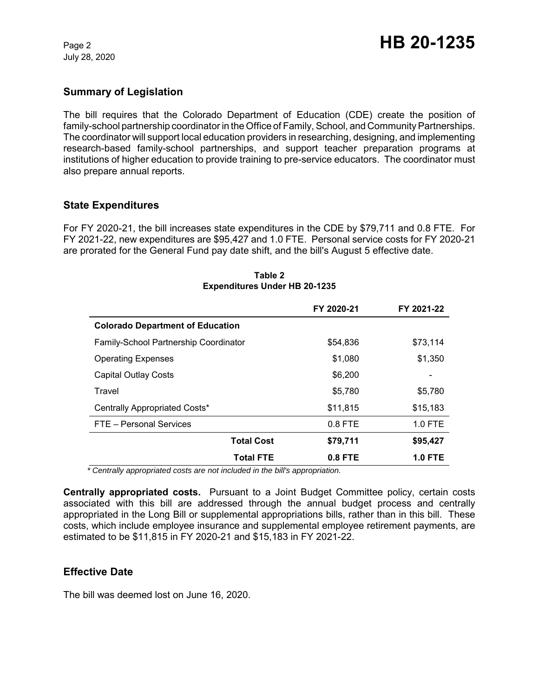July 28, 2020

## **Summary of Legislation**

The bill requires that the Colorado Department of Education (CDE) create the position of family-school partnership coordinator in the Office of Family, School, and Community Partnerships. The coordinator will support local education providers in researching, designing, and implementing research-based family-school partnerships, and support teacher preparation programs at institutions of higher education to provide training to pre-service educators. The coordinator must also prepare annual reports.

## **State Expenditures**

For FY 2020-21, the bill increases state expenditures in the CDE by \$79,711 and 0.8 FTE. For FY 2021-22, new expenditures are \$95,427 and 1.0 FTE. Personal service costs for FY 2020-21 are prorated for the General Fund pay date shift, and the bill's August 5 effective date.

|                                         | FY 2020-21 | FY 2021-22     |
|-----------------------------------------|------------|----------------|
| <b>Colorado Department of Education</b> |            |                |
| Family-School Partnership Coordinator   | \$54,836   | \$73,114       |
| <b>Operating Expenses</b>               | \$1,080    | \$1,350        |
| Capital Outlay Costs                    | \$6,200    |                |
| Travel                                  | \$5,780    | \$5,780        |
| Centrally Appropriated Costs*           | \$11,815   | \$15,183       |
| FTE - Personal Services                 | $0.8$ FTE  | $1.0$ FTE      |
| <b>Total Cost</b>                       | \$79,711   | \$95,427       |
| <b>Total FTE</b>                        | $0.8$ FTE  | <b>1.0 FTE</b> |

#### **Table 2 Expenditures Under HB 20-1235**

 *\* Centrally appropriated costs are not included in the bill's appropriation.*

**Centrally appropriated costs.** Pursuant to a Joint Budget Committee policy, certain costs associated with this bill are addressed through the annual budget process and centrally appropriated in the Long Bill or supplemental appropriations bills, rather than in this bill. These costs, which include employee insurance and supplemental employee retirement payments, are estimated to be \$11,815 in FY 2020-21 and \$15,183 in FY 2021-22.

# **Effective Date**

The bill was deemed lost on June 16, 2020.